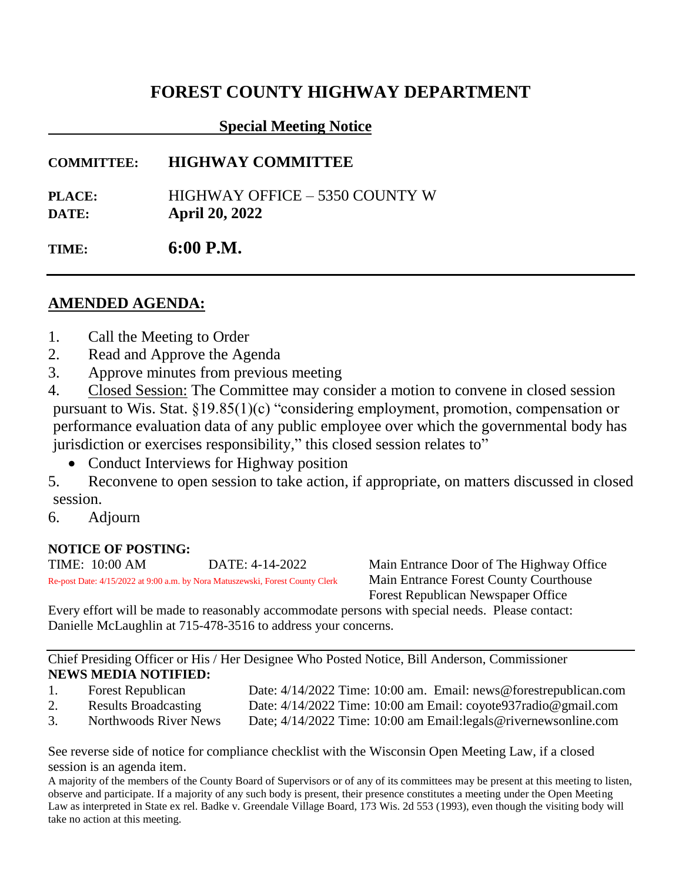# **FOREST COUNTY HIGHWAY DEPARTMENT**

## **Special Meeting Notice**

**COMMITTEE: HIGHWAY COMMITTEE** 

**PLACE:** HIGHWAY OFFICE – 5350 COUNTY W **DATE: April 20, 2022**

**TIME: 6:00 P.M.**

# **AMENDED AGENDA:**

- 1. Call the Meeting to Order
- 2. Read and Approve the Agenda
- 3. Approve minutes from previous meeting

4. Closed Session: The Committee may consider a motion to convene in closed session pursuant to Wis. Stat. §19.85(1)(c) "considering employment, promotion, compensation or performance evaluation data of any public employee over which the governmental body has jurisdiction or exercises responsibility," this closed session relates to"

• Conduct Interviews for Highway position

5. Reconvene to open session to take action, if appropriate, on matters discussed in closed session.

6. Adjourn

### **NOTICE OF POSTING:**

TIME: 10:00 AM DATE: 4-14-2022 Main Entrance Door of The Highway Office Re-post Date: 4/15/2022 at 9:00 a.m. by Nora Matuszewski, Forest County Clerk Main Entrance Forest County Courthouse

Forest Republican Newspaper Office

Every effort will be made to reasonably accommodate persons with special needs. Please contact: Danielle McLaughlin at 715-478-3516 to address your concerns.

Chief Presiding Officer or His / Her Designee Who Posted Notice, Bill Anderson, Commissioner **NEWS MEDIA NOTIFIED:**

1. Forest Republican Date: 4/14/2022 Time: 10:00 am. Email: news@forestrepublican.com 2. Results Broadcasting Date: 4/14/2022 Time: 10:00 am Email: coyote937radio@gmail.com 3. Northwoods River News Date; 4/14/2022 Time: 10:00 am Email:legals@rivernewsonline.com

See reverse side of notice for compliance checklist with the Wisconsin Open Meeting Law, if a closed session is an agenda item.

A majority of the members of the County Board of Supervisors or of any of its committees may be present at this meeting to listen, observe and participate. If a majority of any such body is present, their presence constitutes a meeting under the Open Meeting Law as interpreted in State ex rel. Badke v. Greendale Village Board, 173 Wis. 2d 553 (1993), even though the visiting body will take no action at this meeting.